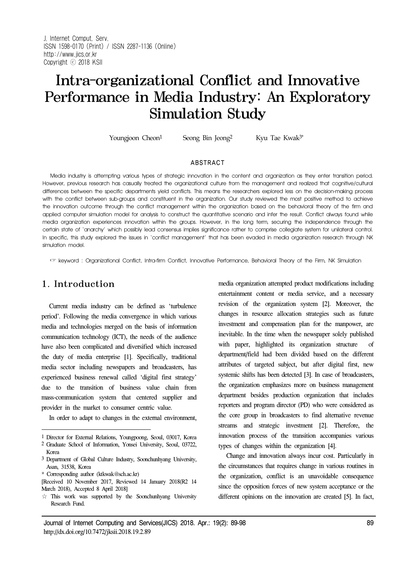# Intra-organizational Conflict and Innovative Performance in Media Industry: An Exploratory Simulation Study

Youngjoon Cheon<sup>1</sup> Seong Bin Jeong<sup>2</sup> Kyu Tae Kwak<sup>3\*</sup>

#### ABSTRACT

Media industry is attempting various types of strategic innovation in the content and organization as they enter transition period. However, previous research has casually treated the organizational culture from the management and realized that cognitive/cultural differences between the specific departments yield conflicts. This means the researchers explored less on the decision-making process with the conflict between sub-groups and constituent in the organization. Our study reviewed the most positive method to achieve the innovation outcome through the conflict management within the organization based on the behavioral theory of the firm and applied computer simulation model for analysis to construct the quantitative scenario and infer the result. Conflict always found while media organization experiences innovation within the groups. However, in the long term, securing the independence through the certain state of 'anarchy' which possibly lead consensus implies significance rather to comprise collegiate system for unilateral control. In specific, this study explored the issues in 'conflict management' that has been evaded in media organization research through NK simulation model.

☞ keyword : Organizational Conflict, Intra-firm Conflict, Innovative Performance, Behavioral Theory of the Firm, NK Simulation

# 1. Introduction

Current media industry can be defined as 'turbulence period'. Following the media convergence in which various media and technologies merged on the basis of information communication technology (ICT), the needs of the audience have also been complicated and diversified which increased the duty of media enterprise [1]. Specifically, traditional media sector including newspapers and broadcasters, has experienced business renewal called 'digital first strategy' due to the transition of business value chain from mass-communication system that centered supplier and provider in the market to consumer centric value.

In order to adapt to changes in the external environment,

media organization attempted product modifications including entertainment content or media service, and a necessary revision of the organization system [2]. Moreover, the changes in resource allocation strategies such as future investment and compensation plan for the manpower, are inevitable. In the time when the newspaper solely published with paper, highlighted its organization structure of department/field had been divided based on the different attributes of targeted subject, but after digital first, new systemic shifts has been detected [3]. In case of broadcasters, the organization emphasizes more on business management department besides production organization that includes reporters and program director (PD) who were considered as the core group in broadcasters to find alternative revenue streams and strategic investment [2]. Therefore, the innovation process of the transition accompanies various types of changes within the organization [4].

Change and innovation always incur cost. Particularly in the circumstances that requires change in various routines in the organization, conflict is an unavoidable consequence since the opposition forces of new system acceptance or the different opinions on the innovation are created [5]. In fact,

<sup>1</sup> Director for External Relations, Youngpoong, Seoul, 03017, Korea

<sup>2</sup> Graduate School of Information, Yonsei University, Seoul, 03722, Korea

<sup>3</sup> Department of Global Culture Industry, Soonchunhyang University, Asan, 31538, Korea

<sup>\*</sup> Corresponding author (ktkwak@sch.ac.kr)

<sup>[</sup>Received 10 November 2017, Reviewed 14 January 2018(R2 14 March 2018), Accepted 8 April 2018]

<sup>☆</sup> This work was supported by the Soonchunhyang University Research Fund.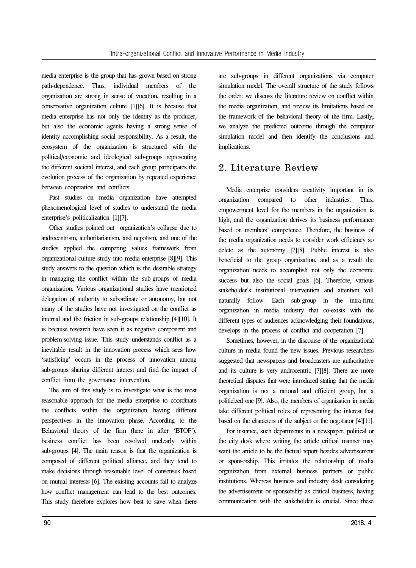media enterprise is the group that has grown based on strong path-dependence. Thus, individual members of the organization are strong in sense of vocation, resulting in a conservative organization culture [1][6]. It is because that media enterprise has not only the identity as the producer, but also the economic agents having a strong sense of identity accomplishing social responsibility. As a result, the ecosystem of the organization is structured with the political/economic and ideological sub-groups representing the different societal interest, and each group participates the evolution process of the organization by repeated experience between cooperation and conflicts.

Past studies on media organization have attempted phenomenological level of studies to understand the media enterprise's politicalization [1][7].

Other studies pointed out organization's collapse due to androcentrism, authoritarianism, and nepotism, and one of the studies applied the competing values framework from organizational culture study into media enterprise [8][9]. This study answers to the question which is the desirable strategy in managing the conflict within the sub-groups of media organization. Various organizational studies have mentioned delegation of authority to subordinate or autonomy, but not many of the studies have not investigated on the conflict as internal and the friction in sub-groups relationship [4][10]. It is because research have seen it as negative component and problem-solving issue. This study understands conflict as a inevitable result in the innovation process which sees how 'satisficing' occurs in the process of innovation among sub-groups sharing different interest and find the impact of conflict from the governance intervention.

The aim of this study is to investigate what is the most reasonable approach for the media enterprise to coordinate the conflicts within the organization having different perspectives in the innovation phase. According to the Behavioral theory of the firm (here in after 'BTOF'), business conflict has been resolved unclearly within sub-groups [4]. The main reason is that the organization is composed of different political alliance, and they tend to make decisions through reasonable level of consensus based on mutual interests [6]. The existing accounts fail to analyze how conflict management can lead to the best outcomes. This study therefore explores how best to save when there

are sub-groups in different organizations via computer simulation model. The overall structure of the study follows the order: we discuss the literature review on conflict within the media organization, and review its limitations based on the framework of the behavioral theory of the firm. Lastly, we analyze the predicted outcome through the computer simulation model and then identify the conclusions and implications.

# 2. Literature Review

Media enterprise considers creativity important in its organization compared to other industries. Thus, empowerment level for the members in the organization is high, and the organization derives its business performance based on members' competence. Therefore, the business of the media organization needs to consider work efficiency so delete as the autonomy [7][8]. Public interest is also beneficial to the group organization, and as a result the organization needs to accomplish not only the economic success but also the social goals [6]. Therefore, various stakeholder's institutional intervention and attention will naturally follow. Each sub-group in the intra-firm organization in media industry that co-exists with the different types of audiences acknowledging their foundations, develops in the process of conflict and cooperation [7].

Sometimes, however, in the discourse of the organizational culture in media found the new issues. Previous researchers suggested that newspapers and broadcasters are authoritative and its culture is very androcentric [7][8]. There are more theoretical disputes that were introduced stating that the media organization is not a rational and efficient group, but a politicized one [9]. Also, the members of organization in media take different political roles of representing the interest that based on the characters of the subject or the negotiator [4][11].

For instance, such departments in a newspaper, political or the city desk where writing the article critical manner may want the article to be the factual report besides advertisement or sponsorship. This irritates the relationship of media organization from external business partners or public institutions. Whereas business and industry desk considering the advertisement or sponsorship as critical business, having communication with the stakeholder is crucial. Since these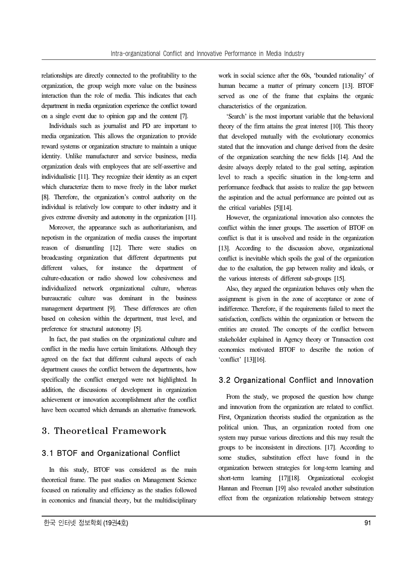relationships are directly connected to the profitability to the organization, the group weigh more value on the business interaction than the role of media. This indicates that each department in media organization experience the conflict toward on a single event due to opinion gap and the content [7].

Individuals such as journalist and PD are important to media organization. This allows the organization to provide reward systems or organization structure to maintain a unique identity. Unlike manufacturer and service business, media organization deals with employees that are self-assertive and individualistic [11]. They recognize their identity as an expert which characterize them to move freely in the labor market [8]. Therefore, the organization's control authority on the individual is relatively low compare to other industry and it gives extreme diversity and autonomy in the organization [11].

Moreover, the appearance such as authoritarianism, and nepotism in the organization of media causes the important reason of dismantling [12]. There were studies on broadcasting organization that different departments put different values, for instance the department of culture-education or radio showed low cohesiveness and individualized network organizational culture, whereas bureaucratic culture was dominant in the business management department [9]. These differences are often based on cohesion within the department, trust level, and preference for structural autonomy [5].

In fact, the past studies on the organizational culture and conflict in the media have certain limitations. Although they agreed on the fact that different cultural aspects of each department causes the conflict between the departments, how specifically the conflict emerged were not highlighted. In addition, the discussions of development in organization achievement or innovation accomplishment after the conflict have been occurred which demands an alternative framework.

# 3. Theoretical Framework

## 3.1 BTOF and Organizational Conflict

In this study, BTOF was considered as the main theoretical frame. The past studies on Management Science focused on rationality and efficiency as the studies followed in economics and financial theory, but the multidisciplinary

work in social science after the 60s, 'bounded rationality' of human became a matter of primary concern [13]. BTOF served as one of the frame that explains the organic characteristics of the organization.

'Search' is the most important variable that the behavioral theory of the firm attains the great interest [10]. This theory that developed mutually with the evolutionary economics stated that the innovation and change derived from the desire of the organization searching the new fields [14]. And the desire always deeply related to the goal setting, aspiration level to reach a specific situation in the long-term and performance feedback that assists to realize the gap between the aspiration and the actual performance are pointed out as the critical variables [5][14].

However, the organizational innovation also connotes the conflict within the inner groups. The assertion of BTOF on conflict is that it is unsolved and reside in the organization [13]. According to the discussion above, organizational conflict is inevitable which spoils the goal of the organization due to the exaltation, the gap between reality and ideals, or the various interests of different sub-groups [15].

Also, they argued the organization behaves only when the assignment is given in the zone of acceptance or zone of indifference. Therefore, if the requirements failed to meet the satisfaction, conflicts within the organization or between the entities are created. The concepts of the conflict between stakeholder explained in Agency theory or Transaction cost economics motivated BTOF to describe the notion of 'conflict' [13][16].

## 3.2 Organizational Conflict and Innovation

From the study, we proposed the question how change and innovation from the organization are related to conflict. First, Organization theorists studied the organization as the political union. Thus, an organization rooted from one system may pursue various directions and this may result the groups to be inconsistent in directions. [17]. According to some studies, substitution effect have found in the organization between strategies for long-term learning and short-term learning [17][18]. Organizational ecologist Hannan and Freeman [19] also revealed another substitution effect from the organization relationship between strategy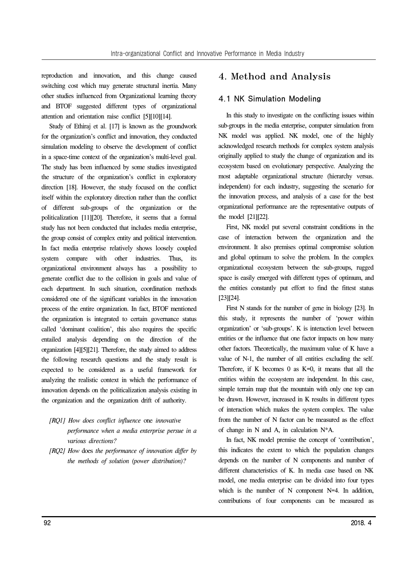reproduction and innovation, and this change caused switching cost which may generate structural inertia. Many other studies influenced from Organizational learning theory and BTOF suggested different types of organizational attention and orientation raise conflict [5][10][14].

Study of Ethiraj et al. [17] is known as the groundwork for the organization's conflict and innovation, they conducted simulation modeling to observe the development of conflict in a space-time context of the organization's multi-level goal. The study has been influenced by some studies investigated the structure of the organization's conflict in exploratory direction [18]. However, the study focused on the conflict itself within the exploratory direction rather than the conflict of different sub-groups of the organization or the politicalization [11][20]. Therefore, it seems that a formal study has not been conducted that includes media enterprise, the group consist of complex entity and political intervention. In fact media enterprise relatively shows loosely coupled system compare with other industries. Thus, its organizational environment always has a possibility to generate conflict due to the collision in goals and value of each department. In such situation, coordination methods considered one of the significant variables in the innovation process of the entire organization. In fact, BTOF mentioned the organization is integrated to certain governance status called 'dominant coalition', this also requires the specific entailed analysis depending on the direction of the organization [4][5][21]. Therefore, the study aimed to address the following research questions and the study result is expected to be considered as a useful framework for analyzing the realistic context in which the performance of innovation depends on the politicalization analysis existing in the organization and the organization drift of authority.

- *[RQ1] How does conflict influence* one *innovative performance when a media enterprise persue in a various directions?*
- *[RQ2] How* does *the performance of innovation differ by the methods of solution (power distribution)?*

# 4. Method and Analysis

#### 4.1 NK Simulation Modeling

In this study to investigate on the conflicting issues within sub-groups in the media enterprise, computer simulation from NK model was applied. NK model, one of the highly acknowledged research methods for complex system analysis originally applied to study the change of organization and its ecosystem based on evolutionary perspective. Analyzing the most adaptable organizational structure (hierarchy versus. independent) for each industry, suggesting the scenario for the innovation process, and analysis of a case for the best organizational performance are the representative outputs of the model [21][22].

First, NK model put several constraint conditions in the case of interaction between the organization and the environment. It also premises optimal compromise solution and global optimum to solve the problem. In the complex organizational ecosystem between the sub-groups, rugged space is easily emerged with different types of optimum, and the entities constantly put effort to find the fittest status [23][24].

First N stands for the number of gene in biology [23]. In this study, it represents the number of 'power within organization' or 'sub-groups'. K is interaction level between entities or the influence that one factor impacts on how many other factors. Theoretically, the maximum value of K have a value of N-1, the number of all entities excluding the self. Therefore, if K becomes  $0$  as  $K=0$ , it means that all the entities within the ecosystem are independent. In this case, simple terrain map that the mountain with only one top can be drawn. However, increased in K results in different types of interaction which makes the system complex. The value from the number of N factor can be measured as the effect of change in N and A, in calculation N\*A.

In fact, NK model premise the concept of 'contribution', this indicates the extent to which the population changes depends on the number of N components and number of different characteristics of K. In media case based on NK model, one media enterprise can be divided into four types which is the number of N component N=4. In addition, contributions of four components can be measured as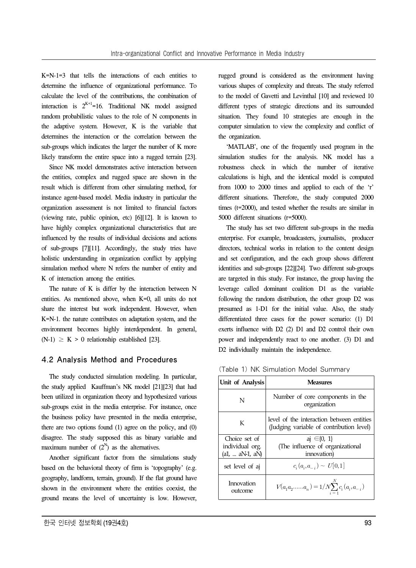K=N-1=3 that tells the interactions of each entities to determine the influence of organizational performance. To calculate the level of the contributions, the combination of interaction is  $2^{K+1}=16$ . Traditional NK model assigned random probabilistic values to the role of N components in the adaptive system. However, K is the variable that determines the interaction or the correlation between the sub-groups which indicates the larger the number of K more likely transform the entire space into a rugged terrain [23].

Since NK model demonstrates active interaction between the entities, complex and rugged space are shown in the result which is different from other simulating method, for instance agent-based model. Media industry in particular the organization assessment is not limited to financial factors (viewing rate, public opinion, etc) [6][12]. It is known to have highly complex organizational characteristics that are influenced by the results of individual decisions and actions of sub-groups [7][11]. Accordingly, the study tries have holistic understanding in organization conflict by applying simulation method where N refers the number of entity and K of interaction among the entities.

The nature of K is differ by the interaction between N entities. As mentioned above, when K=0, all units do not share the interest but work independent. However, when K=N-1. the nature contributes on adaptation system, and the environment becomes highly interdependent. In general,  $(N-1) \geq K > 0$  relationship established [23].

#### 4.2 Analysis Method and Procedures

The study conducted simulation modeling. In particular, the study applied Kauffman's NK model [21][23] that had been utilized in organization theory and hypothesized various sub-groups exist in the media enterprise. For instance, once the business policy have presented in the media enterprise, there are two options found (1) agree on the policy, and (0) disagree. The study supposed this as binary variable and maximum number of  $(2^N)$  as the alternatives.

Another significant factor from the simulations study based on the behavioral theory of firm is 'topography' (e.g. geography, landform, terrain, ground). If the flat ground have shown in the environment where the entities coexist, the ground means the level of uncertainty is low. However,

rugged ground is considered as the environment having various shapes of complexity and threats. The study referred to the model of Gavetti and Levinthal [10] and reviewed 10 different types of strategic directions and its surrounded situation. They found 10 strategies are enough in the computer simulation to view the complexity and conflict of the organization.

'MATLAB', one of the frequently used program in the simulation studies for the analysis. NK model has a robustness check in which the number of iterative calculations is high, and the identical model is computed from 1000 to 2000 times and applied to each of the 'r' different situations. Therefore, the study computed 2000 times (t=2000), and tested whether the results are similar in 5000 different situations (r=5000).

The study has set two different sub-groups in the media enterprise. For example, broadcasters, journalists, producer directors, technical works in relation to the content design and set configuration, and the each group shows different identities and sub-groups [22][24]. Two different sub-groups are targeted in this study. For instance, the group having the leverage called dominant coalition D1 as the variable following the random distribution, the other group D2 was presumed as 1-D1 for the initial value. Also, the study differentiated three cases for the power scenario: (1) D1 exerts influence with D2 (2) D1 and D2 control their own power and independently react to one another. (3) D1 and D2 individually maintain the independence.

(Table 1) NK Simulation Model Summary

| Unit of Analysis                                   | <b>Measures</b>                                                                       |
|----------------------------------------------------|---------------------------------------------------------------------------------------|
| N                                                  | Number of core components in the<br>organization                                      |
| K                                                  | level of the interaction between entities<br>(Judging variable of contribution level) |
| Choice set of<br>individual org.<br>(a1,  aN1, aN) | $q \in \{0, 1\}$<br>(The influence of organizational<br>innovation)                   |
| set level of aj                                    | $c_i(a_i,a_{-i}) \sim U[0,1]$                                                         |
| Innovation<br>outcome                              | $V(a_1 a_2a_n) = 1/N \sum_{i=1}^{N} c_i (a_i, a_{-i})$                                |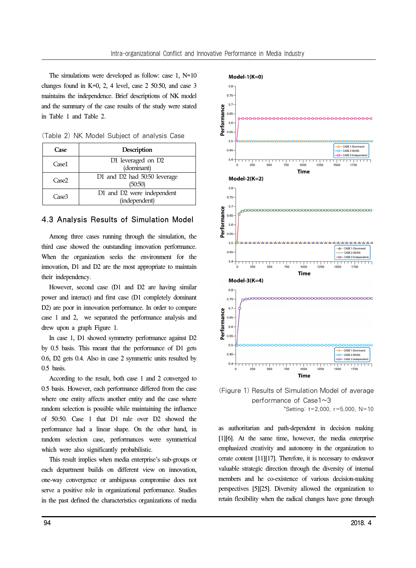The simulations were developed as follow: case 1, N=10 changes found in  $K=0$ , 2, 4 level, case 2 50:50, and case 3 maintains the independence. Brief descriptions of NK model and the summary of the case results of the study were stated in Table 1 and Table 2.

| (Table 2) NK Model Subject of analysis Case |  |  |  |
|---------------------------------------------|--|--|--|
|---------------------------------------------|--|--|--|

| Case              | <b>Description</b>                          |  |  |
|-------------------|---------------------------------------------|--|--|
| Case1             | D1 leveraged on D2<br>(dominant)            |  |  |
| Case <sub>2</sub> | D1 and D2 had 50:50 leverage<br>(50.50)     |  |  |
| Case3             | D1 and D2 were independent<br>(independent) |  |  |

## 4.3 Analysis Results of Simulation Model

Among three cases running through the simulation, the third case showed the outstanding innovation performance. When the organization seeks the environment for the innovation, D1 and D2 are the most appropriate to maintain their independency.

However, second case (D1 and D2 are having similar power and interact) and first case (D1 completely dominant D2) are poor in innovation performance. In order to compare case 1 and 2, we separated the performance analysis and drew upon a graph Figure 1.

In case 1, D1 showed symmetry performance against D2 by 0.5 basis. This meant that the performance of D1 gets 0.6, D2 gets 0.4. Also in case 2 symmetric units resulted by 0.5 basis.

According to the result, both case 1 and 2 converged to 0.5 basis. However, each performance differed from the case where one entity affects another entity and the case where random selection is possible while maintaining the influence of 50:50. Case 1 that D1 rule over D2 showed the performance had a linear shape. On the other hand, in random selection case, performances were symmetrical which were also significantly probabilistic.

This result implies when media enterprise's sub-groups or each department builds on different view on innovation, one-way convergence or ambiguous compromise does not serve a positive role in organizational performance. Studies in the past defined the characteristics organizations of media



(Figure 1) Results of Simulation Model of average performance of Case1~3 \*Setting: t=2,000, r=5,000, N=10

as authoritarian and path-dependent in decision making [1][6]. At the same time, however, the media enterprise emphasized creativity and autonomy in the organization to cerate content [11][17]. Therefore, it is necessary to endeavor valuable strategic direction through the diversity of internal members and he co-existence of various decision-making perspectives [5][25]. Diversity allowed the organization to retain flexibility when the radical changes have gone through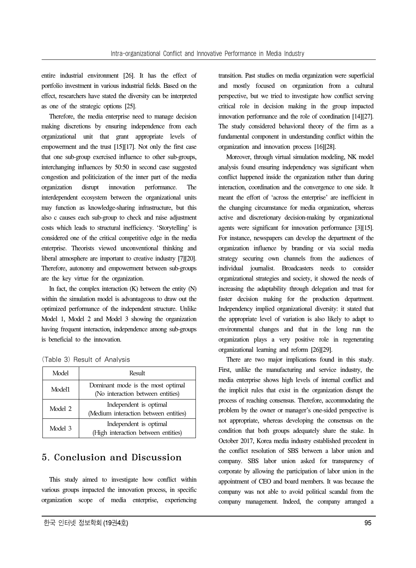entire industrial environment [26]. It has the effect of portfolio investment in various industrial fields. Based on the effect, researchers have stated the diversity can be interpreted as one of the strategic options [25].

Therefore, the media enterprise need to manage decision making discretions by ensuring independence from each organizational unit that grant appropriate levels of empowerment and the trust [15][17]. Not only the first case that one sub-group exercised influence to other sub-groups, interchanging influences by 50:50 in second case suggested congestion and politicization of the inner part of the media organization disrupt innovation performance. The interdependent ecosystem between the organizational units may function as knowledge-sharing infrastructure, but this also c causes each sub-group to check and raise adjustment costs which leads to structural inefficiency. 'Storytelling' is considered one of the critical competitive edge in the media enterprise. Theorists viewed unconventional thinking and liberal atmosphere are important to creative industry [7][20]. Therefore, autonomy and empowerment between sub-groups are the key virtue for the organization.

In fact, the complex interaction (K) between the entity (N) within the simulation model is advantageous to draw out the optimized performance of the independent structure. Unlike Model 1, Model 2 and Model 3 showing the organization having frequent interaction, independence among sub-groups is beneficial to the innovation.

|  |  |  |  |  | (Table 3) Result of Analysis |
|--|--|--|--|--|------------------------------|
|--|--|--|--|--|------------------------------|

| Model   | Result                                                                 |
|---------|------------------------------------------------------------------------|
| Model1  | Dominant mode is the most optimal<br>(No interaction between entities) |
| Model 2 | Independent is optimal<br>(Medium interaction between entities)        |
| Model 3 | Independent is optimal<br>(High interaction between entities)          |

# 5. Conclusion and Discussion

This study aimed to investigate how conflict within various groups impacted the innovation process, in specific organization scope of media enterprise, experiencing transition. Past studies on media organization were superficial and mostly focused on organization from a cultural perspective, but we tried to investigate how conflict serving critical role in decision making in the group impacted innovation performance and the role of coordination [14][27]. The study considered behavioral theory of the firm as a fundamental component in understanding conflict within the organization and innovation process [16][28].

Moreover, through virtual simulation modeling, NK model analysis found ensuring independency was significant when conflict happened inside the organization rather than during interaction, coordination and the convergence to one side. It meant the effort of 'across the enterprise' are inefficient in the changing circumstance for media organization, whereas active and discretionary decision-making by organizational agents were significant for innovation performance [3][15]. For instance, newspapers can develop the department of the organization influence by branding or via social media strategy securing own channels from the audiences of individual journalist. Broadcasters needs to consider organizational strategies and society, it showed the needs of increasing the adaptability through delegation and trust for faster decision making for the production department. Independency implied organizational diversity: it stated that the appropriate level of variation is also likely to adapt to environmental changes and that in the long run the organization plays a very positive role in regenerating organizational learning and reform [26][29].

There are two major implications found in this study. First, unlike the manufacturing and service industry, the media enterprise shows high levels of internal conflict and the implicit rules that exist in the organization disrupt the process of reaching consensus. Therefore, accommodating the problem by the owner or manager's one-sided perspective is not appropriate, whereas developing the consensus on the condition that both groups adequately share the stake. In October 2017, Korea media industry established precedent in the conflict resolution of SBS between a labor union and company. SBS labor union asked for transparency of corporate by allowing the participation of labor union in the appointment of CEO and board members. It was because the company was not able to avoid political scandal from the company management. Indeed, the company arranged a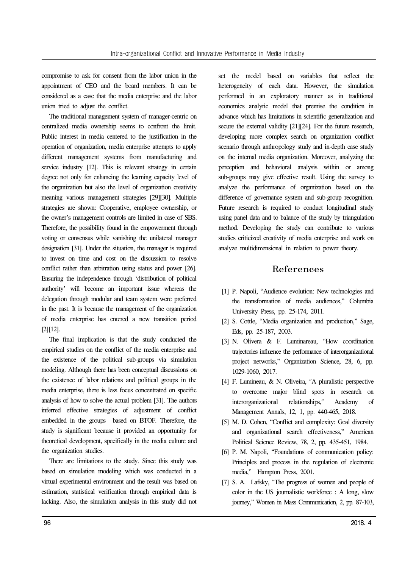compromise to ask for consent from the labor union in the appointment of CEO and the board members. It can be considered as a case that the media enterprise and the labor union tried to adjust the conflict.

The traditional management system of manager-centric on centralized media ownership seems to confront the limit. Public interest in media centered to the justification in the operation of organization, media enterprise attempts to apply different management systems from manufacturing and service industry [12]. This is relevant strategy in certain degree not only for enhancing the learning capacity level of the organization but also the level of organization creativity meaning various management strategies [29][30]. Multiple strategies are shown: Cooperative, employee ownership, or the owner's management controls are limited in case of SBS. Therefore, the possibility found in the empowerment through voting or consensus while vanishing the unilateral manager designation [31]. Under the situation, the manager is required to invest on time and cost on the discussion to resolve conflict rather than arbitration using status and power [26]. Ensuring the independence through 'distribution of political authority' will become an important issue whereas the delegation through modular and team system were preferred in the past. It is because the management of the organization of media enterprise has entered a new transition period [2][12].

The final implication is that the study conducted the empirical studies on the conflict of the media enterprise and the existence of the political sub-groups via simulation modeling. Although there has been conceptual discussions on the existence of labor relations and political groups in the media enterprise, there is less focus concentrated on specific analysis of how to solve the actual problem [31]. The authors inferred effective strategies of adjustment of conflict embedded in the groups based on BTOF. Therefore, the study is significant because it provided an opportunity for theoretical development, specifically in the media culture and the organization studies.

There are limitations to the study. Since this study was based on simulation modeling which was conducted in a virtual experimental environment and the result was based on estimation, statistical verification through empirical data is lacking. Also, the simulation analysis in this study did not

set the model based on variables that reflect the heterogeneity of each data. However, the simulation performed in an exploratory manner as in traditional economics analytic model that premise the condition in advance which has limitations in scientific generalization and secure the external validity [21][24]. For the future research, developing more complex search on organization conflict scenario through anthropology study and in-depth case study on the internal media organization. Moreover, analyzing the perception and behavioral analysis within or among sub-groups may give effective result. Using the survey to analyze the performance of organization based on the difference of governance system and sub-group recognition. Future research is required to conduct longitudinal study using panel data and to balance of the study by triangulation method. Developing the study can contribute to various studies criticized creativity of media enterprise and work on analyze multidimensional in relation to power theory.

# References

- [1] P. Napoli, "Audience evolution: New technologies and the transformation of media audiences," Columbia University Press, pp. 25-174, 2011.
- [2] S. Cottle, "Media organization and production," Sage, Eds, pp. 25-187, 2003.
- [3] N. Olivera & F. Luminareau, "How coordination trajectories influence the performance of interorganizational project networks," Organization Science, 28, 6, pp. 1029-1060, 2017.
- [4] F. Lumineau, & N. Oliveira, "A pluralistic perspective to overcome major blind spots in research on interorganizational relationships," Academy of Management Annals, 12, 1, pp. 440-465, 2018.
- [5] M. D. Cohen, "Conflict and complexity: Goal diversity and organizational search effectiveness," American Political Science Review, 78, 2, pp. 435-451, 1984.
- [6] P. M. Napoli, "Foundations of communication policy: Principles and process in the regulation of electronic media," Hampton Press, 2001.
- [7] S. A. Lafsky, "The progress of women and people of color in the US journalistic workforce : A long, slow journey," Women in Mass Communication, 2, pp. 87-103,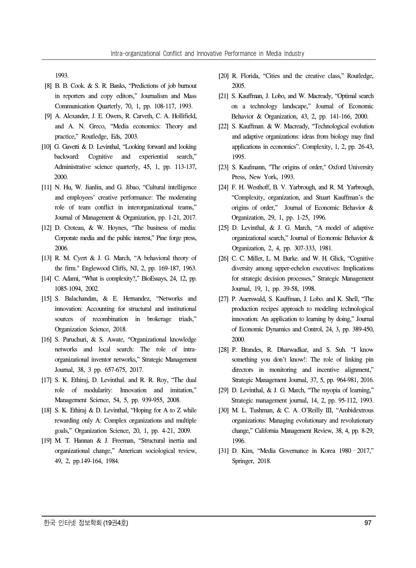1993.

- [8] B. B. Cook. & S. R. Banks, "Predictions of job burnout in reporters and copy editors," Journalism and Mass Communication Quarterly, 70, 1, pp. 108-117, 1993.
- [9] A. Alexander, J. E. Owers, R. Carveth, C. A. Hollifield, and A. N. Greco, "Media economics: Theory and practice," Routledge, Eds, 2003.
- [10] G. Gavetti & D. Levinthal, "Looking forward and looking backward: Cognitive and experiential search," Administrative science quarterly, 45, 1, pp. 113-137, 2000.
- [11] N. Hu, W. Jianlin, and G. Jibao, "Cultural intelligence and employees' creative performance: The moderating role of team conflict in interorganizational teams," Journal of Management & Organization, pp. 1-21, 2017.
- [12] D. Croteau, & W. Hoynes, "The business of media: Corporate media and the public interest," Pine forge press, 2006.
- [13] R. M. Cyert & J. G. March, "A behavioral theory of the firm." Englewood Cliffs, NJ, 2, pp. 169-187, 1963.
- [14] C. Adami, "What is complexity?," BioEssays, 24, 12, pp. 1085-1094, 2002.
- [15] S. Balachandan, & E. Hernandez, "Networks and innovation: Accounting for structural and institutional sources of recombination in brokerage triads," Organization Science, 2018.
- [16] S. Paruchuri, & S. Awate, "Organizational knowledge networks and local search: The role of intraorganizational inventor networks," Strategic Management Journal, 38, 3 pp. 657-675, 2017.
- [17] S. K. Ethiraj, D. Levinthal. and R. R. Roy, "The dual role of modularity: Innovation and imitation," Management Science, 54, 5, pp. 939-955, 2008.
- [18] S. K. Ethiraj & D. Levinthal, "Hoping for A to Z while rewarding only A: Complex organizations and multiple goals," Organization Science, 20, 1, pp. 4-21, 2009.
- [19] M. T. Hannan & J. Freeman, "Structural inertia and organizational change," American sociological review, 49, 2, pp.149-164, 1984.
- [20] R. Florida, "Cities and the creative class," Routledge, 2005.
- [21] S. Kauffman, J. Lobo, and W. Macready, "Optimal search on a technology landscape," Journal of Economic Behavior & Organization, 43, 2, pp. 141-166, 2000.
- [22] S. Kauffman. & W. Macready, "Technological evolution and adaptive organizations: ideas from biology may find applications in economics". Complexity, 1, 2, pp. 26-43, 1995.
- [23] S. Kaufmann, "The origins of order," Oxford University Press, New York, 1993.
- [24] F. H. Westhoff, B. V. Yarbrough, and R. M. Yarbrough, "Complexity, organization, and Stuart Kauffman's the origins of order," Journal of Economic Behavior & Organization, 29, 1, pp. 1-25, 1996.
- [25] D. Levinthal, & J. G. March, "A model of adaptive organizational search," Journal of Economic Behavior & Organization, 2, 4, pp. 307-333, 1981.
- [26] C. C. Miller, L. M. Burke. and W. H. Glick, "Cognitive diversity among upper-echelon executives: Implications for strategic decision processes," Strategic Management Journal, 19, 1, pp. 39-58, 1998.
- [27] P. Auerswald, S. Kauffman, J. Lobo. and K. Shell, "The production recipes approach to modeling technological innovation: An application to learning by doing," Journal of Economic Dynamics and Control, 24, 3, pp. 389-450, 2000.
- [28] P. Brandes, R. Dharwadkar, and S. Suh. "I know something you don't know!: The role of linking pin directors in monitoring and incentive alignment," Strategic Management Journal, 37, 5, pp. 964-981, 2016.
- [29] D. Levinthal, & J. G. March, "The myopia of learning," Strategic management journal, 14, 2, pp. 95-112, 1993.
- [30] M. L. Tushman, & C. A. O'Reilly III, "Ambidextrous organizations: Managing evolutionary and revolutionary change," California Management Review, 38, 4, pp. 8-29, 1996.
- [31] D. Kim, "Media Governance in Korea 1980–2017," Springer, 2018.